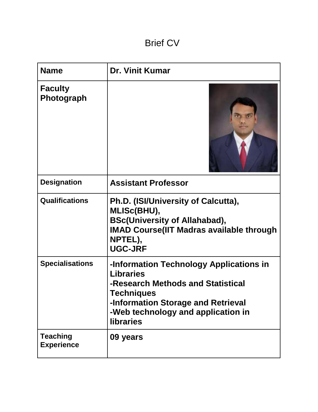# Brief CV

| <b>Name</b>                          | <b>Dr. Vinit Kumar</b>                                                                                                                                                                                         |
|--------------------------------------|----------------------------------------------------------------------------------------------------------------------------------------------------------------------------------------------------------------|
| <b>Faculty</b><br>Photograph         |                                                                                                                                                                                                                |
| <b>Designation</b>                   | <b>Assistant Professor</b>                                                                                                                                                                                     |
| <b>Qualifications</b>                | Ph.D. (ISI/University of Calcutta),<br><b>MLISc(BHU),</b><br><b>BSc(University of Allahabad),</b><br><b>IMAD Course (IIT Madras available through</b><br>NPTEL),<br><b>UGC-JRF</b>                             |
| <b>Specialisations</b>               | -Information Technology Applications in<br><b>Libraries</b><br>-Research Methods and Statistical<br>Techniques<br>-Information Storage and Retrieval<br>-Web technology and application in<br><b>libraries</b> |
| <b>Teaching</b><br><b>Experience</b> | 09 years                                                                                                                                                                                                       |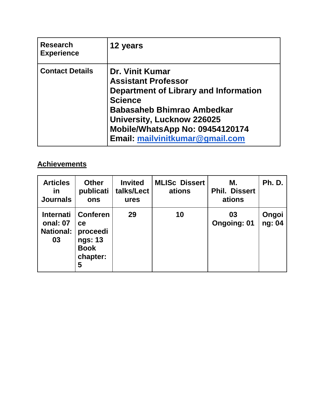| <b>Research</b><br><b>Experience</b> | 12 years                                                                                                                                                                                                                                                        |
|--------------------------------------|-----------------------------------------------------------------------------------------------------------------------------------------------------------------------------------------------------------------------------------------------------------------|
| <b>Contact Details</b>               | <b>Dr. Vinit Kumar</b><br><b>Assistant Professor</b><br>Department of Library and Information<br><b>Science</b><br><b>Babasaheb Bhimrao Ambedkar</b><br><b>University, Lucknow 226025</b><br>Mobile/WhatsApp No: 09454120174<br>Email: mailvinitkumar@gmail.com |

## **Achievements**

| <b>Articles</b><br>in<br><b>Journals</b>               | <b>Other</b><br>publicati<br>ons                                             | <b>Invited</b><br>talks/Lect<br>ures | <b>MLISc Dissert</b><br>ations | М.<br><b>Phil. Dissert</b><br>ations | <b>Ph. D.</b>   |
|--------------------------------------------------------|------------------------------------------------------------------------------|--------------------------------------|--------------------------------|--------------------------------------|-----------------|
| <b>Internati</b><br>onal: 07<br><b>National:</b><br>03 | <b>Conferen</b><br>ce<br>proceedi<br>ngs: 13<br><b>Book</b><br>chapter:<br>5 | 29                                   | 10                             | 03<br><b>Ongoing: 01</b>             | Ongoi<br>ng: 04 |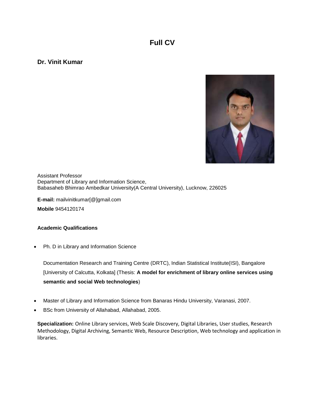### **Full CV**

**Dr. Vinit Kumar**



Assistant Professor Department of Library and Information Science, Babasaheb Bhimrao Ambedkar University(A Central University), Lucknow, 226025

**E-mail:** mailvinitkumar[@]gmail.com

**Mobile** 9454120174

#### **Academic Qualifications**

• Ph. D in Library and Information Science

Documentation Research and Training Centre (DRTC), Indian Statistical Institute(ISI), Bangalore [University of Calcutta, Kolkata] (Thesis: **A model for enrichment of library online services using semantic and social Web technologies**)

- Master of Library and Information Science from Banaras Hindu University, Varanasi, 2007.
- BSc from University of Allahabad, Allahabad, 2005.

**Specialization:** Online Library services, Web Scale Discovery, Digital Libraries, User studies, Research Methodology, Digital Archiving, Semantic Web, Resource Description, Web technology and application in libraries.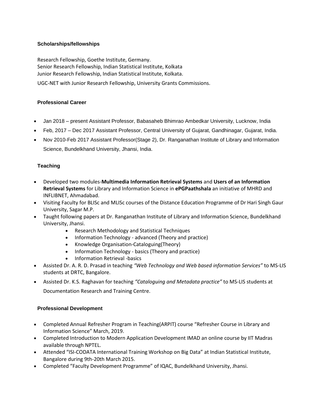#### **Scholarships/fellowships**

Research Fellowship, Goethe Institute, Germany. Senior Research Fellowship, Indian Statistical Institute, Kolkata Junior Research Fellowship, Indian Statistical Institute, Kolkata.

UGC-NET with Junior Research Fellowship, University Grants Commissions.

#### **Professional Career**

- Jan 2018 present Assistant Professor, Babasaheb Bhimrao Ambedkar University, Lucknow, India
- Feb, 2017 Dec 2017 Assistant Professor, Central University of Gujarat, Gandhinagar, Gujarat, India.
- Nov 2010-Feb 2017 Assistant Professor(Stage 2), Dr. Ranganathan Institute of Library and Information Science, Bundelkhand University, Jhansi, India.

#### **Teaching**

- Developed two modules-**Multimedia Information Retrieval Systems** and **Users of an Information Retrieval Systems** for Library and Information Science in **ePGPaathshala** an initiative of MHRD and INFLIBNET, Ahmadabad.
- Visiting Faculty for BLISc and MLISc courses of the Distance Education Programme of Dr Hari Singh Gaur University, Sagar M.P.
- Taught following papers at Dr. Ranganathan Institute of Library and Information Science, Bundelkhand University, Jhansi.
	- Research Methodology and Statistical Techniques
	- Information Technology advanced (Theory and practice)
	- Knowledge Organisation-Cataloguing(Theory)
	- Information Technology basics (Theory and practice)
	- Information Retrieval -basics
- Assisted Dr. A. R. D. Prasad in teaching *"Web Technology and Web based information Services"* to MS-LIS students at DRTC, Bangalore.
- Assisted Dr. K.S. Raghavan for teaching *"Cataloguing and Metadata practice"* to MS-LIS students at Documentation Research and Training Centre.

#### **Professional Development**

- Completed Annual Refresher Program in Teaching(ARPIT) course "Refresher Course in Library and Information Science" March, 2019.
- Completed Introduction to Modern Application Development IMAD an online course by IIT Madras available through NPTEL.
- Attended "ISI-CODATA International Training Workshop on Big Data" at Indian Statistical Institute, Bangalore during 9th-20th March 2015.
- Completed "Faculty Development Programme" of IQAC, Bundelkhand University, Jhansi.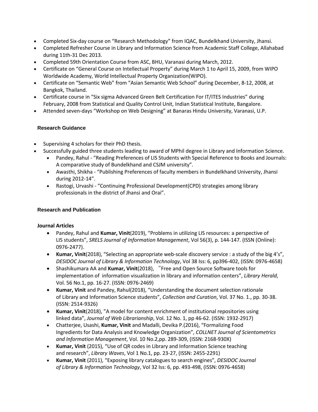- Completed Six-day course on "Research Methodology" from IQAC, Bundelkhand University, Jhansi.
- Completed Refresher Course in Library and Information Science from Academic Staff College, Allahabad during 11th-31 Dec 2013.
- Completed 59th Orientation Course from ASC, BHU, Varanasi during March, 2012.
- Certificate on "General Course on Intellectual Property" during March 1 to April 15, 2009, from WIPO Worldwide Academy, World Intellectual Property Organization(WIPO).
- Certificate on "Semantic Web" from "Asian Semantic Web School" during December, 8-12, 2008, at Bangkok, Thailand.
- Certificate course in "Six sigma Advanced Green Belt Certification For IT/ITES Industries" during February, 2008 from Statistical and Quality Control Unit, Indian Statistical Institute, Bangalore.
- Attended seven-days "Workshop on Web Designing" at Banaras Hindu University, Varanasi, U.P.

#### **Research Guidance**

- Supervising 4 scholars for their PhD thesis.
- Successfully guided three students leading to award of MPhil degree in Library and Information Science.
	- Pandey, Rahul "Reading Preferences of LIS Students with Special Reference to Books and Journals: A comparative study of Bundelkhand and CSJM university".
	- Awasthi, Shikha "Publishing Preferences of faculty members in Bundelkhand University, Jhansi during 2012-14".
	- Rastogi, Urvashi "Continuing Professional Development(CPD) strategies among library professionals in the district of Jhansi and Orai".

#### **Research and Publication**

#### **Journal Articles**

- Pandey, Rahul and **Kumar, Vinit**(2019), "Problems in utilizing LIS resources: a perspective of LIS students", *SRELS Journal of Information Management*, Vol 56(3), p. 144-147. (ISSN (Online): 0976-2477).
- **Kumar, Vinit**(2018), "Selecting an appropriate web-scale discovery service : a study of the big 4's", *DESIDOC Journal of Library & Information Technology*, Vol 38 Iss: 6, pp396-402, (ISSN: 0976-4658)
- Shashikumara AA and **Kumar, Vinit**(2018), "Free and Open Source Software tools for implementation of information visualization in library and information centers", *Library Herald*, Vol. 56 No.1, pp. 16-27. (ISSN: 0976-2469)
- **Kumar, Vinit** and Pandey, Rahul(2018), "Understanding the document selection rationale of Library and Information Science students", *Collection and Curation*, Vol. 37 No. 1., pp. 30-38. (ISSN: 2514-9326)
- **Kumar, Vinit**(2018), "A model for content enrichment of institutional repositories using linked data", *Journal of Web Librarianship*, Vol. 12 No. 1, pp 46-62. (ISSN: 1932-2917)
- Chatterjee, Usashi, **Kumar, Vinit** and Madalli, Devika P.(2016), "Formalizing Food Ingredients for Data Analysis and Knowledge Organization", *COLLNET Journal of Scientometrics and Information Management*, Vol. 10 No.2,pp. 289-309, (ISSN: 2168-930X)
- **Kumar, Vinit** (2015), "Use of QR codes in Library and Information Science teaching and research", *Library Waves*, Vol 1 No.1, pp. 23-27, (ISSN: 2455-2291)
- **Kumar, Vinit** (2011), "Exposing library catalogues to search engines", *DESIDOC Journal of Library & Information Technology*, Vol 32 Iss: 6, pp. 493-498, (ISSN: 0976-4658)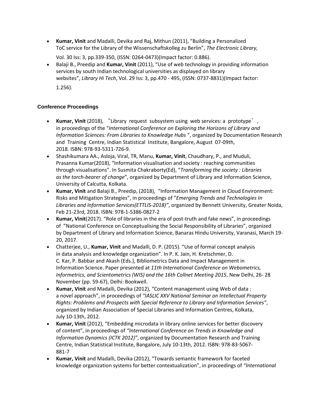• **Kumar, Vinit** and Madalli, Devika and Raj, Mithun (2011), "Building a Personalized ToC service for the Library of the Wissenschaftskolleg zu Berlin", *The Electronic Library*,

Vol. 30 Iss: 3, pp.339-350, (ISSN: 0264-0473)(Impact factor: 0.886).

• Balaji B., Preedip and **Kumar, Vinit** (2011), "Use of web technology in providing information services by south Indian technological universities as displayed on library websites", *Library Hi Tech*, Vol. 29 Iss: 3, pp.470 - 495, (ISSN: 0737-8831)(Impact factor: 1.256).

#### **Conference Proceedings**

- **Kumar, Vinit** (2018), "Library request subsystem using web services: a prototype', in proceedings of the "*International Conference on Exploring the Horizons of Library and Information Sciences: From Libraries to Knowledge Hubs* ", organized by Documentation Research and Training Centre, Indian Statistical Institute, Bangalore, August 07-09th, 2018. ISBN: 978-93-5311-726-9.
- Shashikumara AA., Asloja, Viral, TR, Manu, **Kumar, Vinit**, Chaudhary, P., and Muduli, Prasanna Kumar(2018), "Information visualisation and society : reaching communities through visualisations". In Susmita Chakraborty(Ed), "*Transforming the society : Libraries as the torch-bearer of change*", organized by Department of Library and Information Science, University of Calcutta, Kolkata.
- **Kumar, Vinit** and Balaji B., Preedip, (2018), "Information Management in Cloud Environment: Risks and Mitigation Strategies", in proceedings of "*Emerging Trends and Technologies In Libraries and Information Services(ETTLIS-2018)"*, organized by Bennett University, Greater Noida, Feb 21-23rd, 2018. ISBN: 978-1-5386-0827-2
- **Kumar, Vinit**(2017). "Role of libraries in the era of post-truth and fake news", in proceedings of "National Conference on Conceptualising the Social Responsibility of Libraries", organized by Department of Library and Information Science, Banaras Hindu University, Varanasi, March 19- 20, 2017.
- Chatterjee, U., **Kumar, Vinit** and Madalli, D. P. (2015). "Use of formal concept analysis in data analysis and knowledge organization". In P. K. Jain, H. Kretschmer, D. C. Kar, P. Babbar and Akash (Eds.), Bibliometrics Data and Impact Management in Information Science. Paper presented at *11th International Conference on Webometrics, Informetrics, and Scientometrics (WIS) and the 16th Collnet Meeting 2015*, New Delhi, 26- 28 November (pp. 59-67), Delhi: Bookwell.
- **Kumar, Vinit** and Madalli, Devika (2012), "Content management using Web of data : a novel approach", in proceedings of *"IASLIC XXV National Seminar on Intellectual Property Rights: Problems and Prospects with Special Reference to Library and Information Services"*, organized by Indian Association of Special Libraries and Information Centres, Kolkata, July 10-13th, 2012.
- **Kumar, Vinit** (2012), "Embedding microdata in library online services for better discovery of content", in proceedings of *"International Conference on Trends in Knowledge and Information Dynamics (ICTK 2012)"*, organized by Documentation Research and Training Centre, Indian Statistical Institute, Bangalore, July 10-13th, 2012. ISBN: 978-83-5067- 881-7
- **Kumar, Vinit** and Madalli, Devika (2012), "Towards semantic framework for faceted knowledge organization systems for better contextualization", in proceedings of *"International*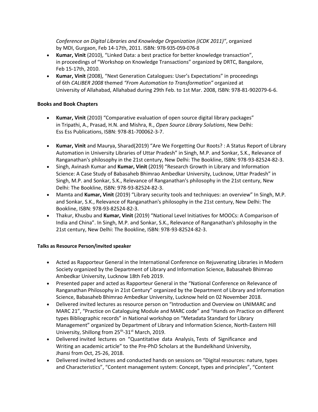*Conference on Digital Libraries and Knowledge Organization (ICDK 2011)"*, organized by MDI, Gurgaon, Feb 14-17th, 2011. ISBN: 978-935-059-076-8

- **Kumar, Vinit** (2010), "Linked Data: a best practice for better knowledge transaction", in proceedings of "Workshop on Knowledge Transactions" organized by DRTC, Bangalore, Feb 15-17th, 2010.
- **Kumar, Vinit** (2008), "Next Generation Catalogues: User's Expectations" in proceedings of 6th *CALIBER 2008* themed *"From Automation to Transformation"* organized at University of Allahabad, Allahabad during 29th Feb. to 1st Mar. 2008, ISBN: 978-81-902079-6-6.

#### **Books and Book Chapters**

- **Kumar, Vinit** (2010) "Comparative evaluation of open source digital library packages" in Tripathi, A., Prasad, H.N. and Mishra, R., *Open Source Library Solutions*, New Delhi: Ess Ess Publications, ISBN: 978-81-700062-3-7.
- **Kumar, Vinit** and Maurya, Sharad(2019) "Are We Forgetting Our Roots? : A Status Report of Library Automation in University Libraries of Uttar Pradesh" in Singh, M.P. and Sonkar, S.K., Relevance of Ranganathan's philosophy in the 21st century, New Delhi: The Bookline, ISBN: 978-93-82524-82-3.
- Singh, Avinash Kumar and **Kumar, Vinit** (2019) "Research Growth in Library and Information Science: A Case Study of Babasaheb Bhimrao Ambedkar University, Lucknow, Uttar Pradesh" in Singh, M.P. and Sonkar, S.K., Relevance of Ranganathan's philosophy in the 21st century, New Delhi: The Bookline, ISBN: 978-93-82524-82-3.
- Mamta and **Kumar, Vinit** (2019) "Library security tools and techniques: an overview" In Singh, M.P. and Sonkar, S.K., Relevance of Ranganathan's philosophy in the 21st century, New Delhi: The Bookline, ISBN: 978-93-82524-82-3.
- Thakur, Khusbu and **Kumar, Vinit** (2019) "National Level Initiatives for MOOCs: A Comparison of India and China". In Singh, M.P. and Sonkar, S.K., Relevance of Ranganathan's philosophy in the 21st century, New Delhi: The Bookline, ISBN: 978-93-82524-82-3.

#### **Talks as Resource Person/invited speaker**

- Acted as Rapporteur General in the International Conference on Rejuvenating Libraries in Modern Society organized by the Department of Library and Information Science, Babasaheb Bhimrao Ambedkar University, Lucknow 18th Feb 2019.
- Presented paper and acted as Rapporteur General in the "National Conference on Relevance of Ranganathan Philosophy in 21st Century" organized by the Department of Library and Information Science, Babasaheb Bhimrao Ambedkar University, Lucknow held on 02 November 2018.
- Delivered invited lectures as resource person on "Introduction and Overview on UNIMARC and MARC 21", "Practice on Cataloguing Module and MARC code" and "Hands on Practice on different types Bibliographic records" in National workshop on "Metadata Standard for Library Management" organized by Department of Library and Information Science, North-Eastern Hill University, Shillong from 25<sup>th</sup>-31<sup>st</sup> March, 2019.
- Delivered invited lectures on "Quantitative data Analysis, Tests of Significance and Writing an academic article" to the Pre-PhD Scholars at the Bundelkhand University, Jhansi from Oct, 25-26, 2018.
- Delivered invited lectures and conducted hands on sessions on "Digital resources: nature, types and Characteristics", "Content management system: Concept, types and principles", "Content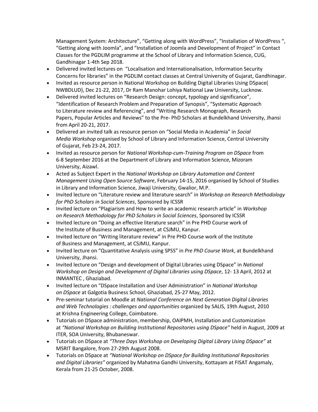Management System: Architecture", "Getting along with WordPress", "Installation of WordPress ", "Getting along with Joomla", and "Installation of Joomla and Development of Project" in Contact Classes for the PGDLIM programme at the School of Library and Information Science, CUG, Gandhinagar 1-4th Sep 2018.

- Delivered invited lectures on "Localisation and Internationalisation, Information Security Concerns for libraries" in the PGDLIM contact classes at Central University of Gujarat, Gandhinagar.
- Invited as resource person in National Workshop on Building Digital Libraries Using DSpace( NWBDLUD), Dec 21-22, 2017, Dr Ram Manohar Lohiya National Law University, Lucknow.
- Delivered invited lectures on "Research Design: concept, typology and significance", "Identification of Research Problem and Preparation of Synopsis", "Systematic Approach to Literature review and Referencing", and "Writing Research Monograph, Research Papers, Popular Articles and Reviews" to the Pre- PhD Scholars at Bundelkhand University, Jhansi from April 20-21, 2017.
- Delivered an invited talk as resource person on "Social Media in Academia" in *Social Media Workshop* organised by School of Library and Information Science, Central University of Gujarat, Feb 23-24, 2017.
- Invited as resource person for *National Workshop-cum-Training Program on DSpace* from 6-8 September 2016 at the Department of Library and Information Science, Mizoram University, Aizawl.
- Acted as Subject Expert in the *National Workshop on Library Automation and Content Management Using Open Source Software*, February 14-15, 2016 organised by School of Studies in Library and Information Science, Jiwaji University, Gwalior, M.P.
- Invited lecture on "Literature review and literature search" in *Workshop on Research Methodology for PhD Scholars in Social Sciences*, Sponsored by ICSSR
- Invited lecture on "Plagiarism and How to write an academic research article" in *Workshop on Research Methodology for PhD Scholars in Social Sciences*, Sponsored by ICSSR
- Invited lecture on "Doing an effective literature search" in Pre PHD Course work of the Institute of Business and Management, at CSJMU, Kanpur.
- Invited lecture on "Writing literature review" in Pre PHD Course work of the Institute of Business and Management, at CSJMU, Kanpur.
- Invited lecture on "Quantitative Analysis using SPSS" in *Pre PhD Course Work*, at Bundelkhand University, Jhansi.
- Invited lecture on "Design and development of Digital Libraries using DSpace" in *National Workshop on Design and Development of Digital Libraries using DSpace*, 12- 13 April, 2012 at INMANTEC , Ghaziabad.
- Invited lecture on "DSpace Installation and User Administration" in *National Workshop on DSpace* at Galgotia Business School, Ghaziabad, 25-27 May, 2012.
- Pre-seminar tutorial on Moodle at *National Conference on Next Generation Digital Libraries and Web Technologies : challenges and opportunities* organized by SALIS, 19th August, 2010 at Krishna Engineering College, Coimbatore.
- Tutorials on DSpace administration, membership, OAIPMH, Installation and Customization at *"National Workshop on Building Institutional Repositories using DSpace"* held in August, 2009 at ITER, SOA University, Bhubaneswar.
- Tutorials on DSpace at *"Three Days Workshop on Developing Digital Library Using DSpace"* at MSRIT Bangalore, from 27-29th August 2008.
- Tutorials on DSpace at *"National Workshop on DSpace for Building Institutional Repositories and Digital Libraries"* organized by Mahatma Gandhi University, Kottayam at FISAT Angamaly, Kerala from 21-25 October, 2008.